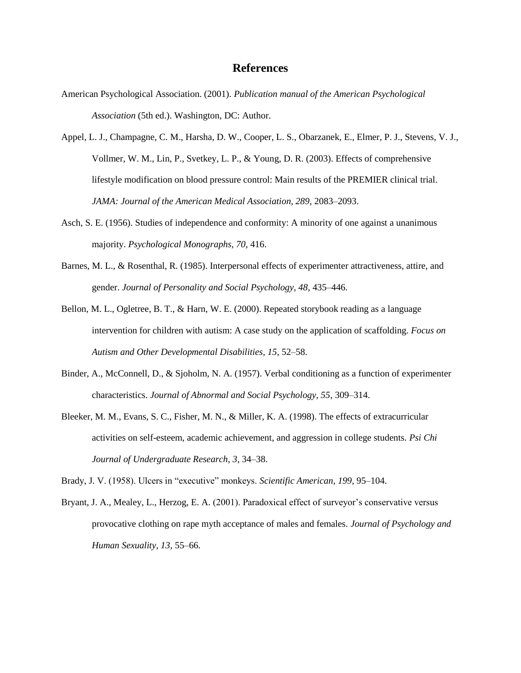## **References**

- American Psychological Association. (2001). *Publication manual of the American Psychological Association* (5th ed.). Washington, DC: Author.
- Appel, L. J., Champagne, C. M., Harsha, D. W., Cooper, L. S., Obarzanek, E., Elmer, P. J., Stevens, V. J., Vollmer, W. M., Lin, P., Svetkey, L. P., & Young, D. R. (2003). Effects of comprehensive lifestyle modification on blood pressure control: Main results of the PREMIER clinical trial. *JAMA: Journal of the American Medical Association, 289*, 2083–2093.
- Asch, S. E. (1956). Studies of independence and conformity: A minority of one against a unanimous majority. *Psychological Monographs, 70*, 416.
- Barnes, M. L., & Rosenthal, R. (1985). Interpersonal effects of experimenter attractiveness, attire, and gender. *Journal of Personality and Social Psychology, 48*, 435–446.
- Bellon, M. L., Ogletree, B. T., & Harn, W. E. (2000). Repeated storybook reading as a language intervention for children with autism: A case study on the application of scaffolding. *Focus on Autism and Other Developmental Disabilities, 15*, 52–58.
- Binder, A., McConnell, D., & Sjoholm, N. A. (1957). Verbal conditioning as a function of experimenter characteristics. *Journal of Abnormal and Social Psychology, 55*, 309–314.
- Bleeker, M. M., Evans, S. C., Fisher, M. N., & Miller, K. A. (1998). The effects of extracurricular activities on self-esteem, academic achievement, and aggression in college students. *Psi Chi Journal of Undergraduate Research, 3*, 34–38.

Brady, J. V. (1958). Ulcers in "executive" monkeys. *Scientific American, 199*, 95–104.

Bryant, J. A., Mealey, L., Herzog, E. A. (2001). Paradoxical effect of surveyor's conservative versus provocative clothing on rape myth acceptance of males and females. *Journal of Psychology and Human Sexuality, 13*, 55–66.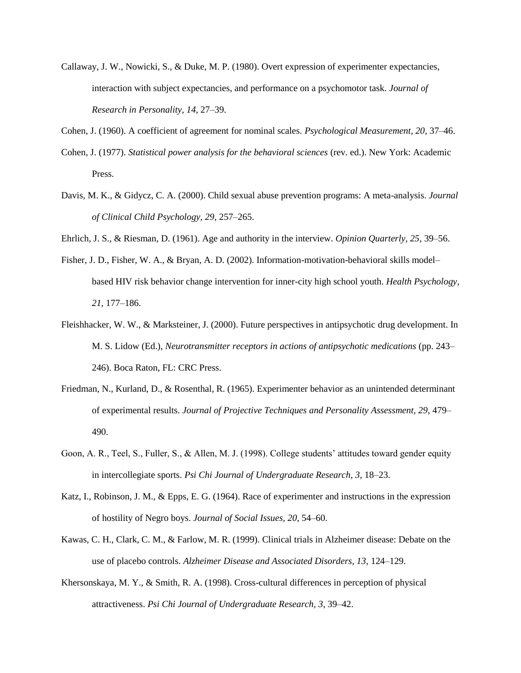Callaway, J. W., Nowicki, S., & Duke, M. P. (1980). Overt expression of experimenter expectancies, interaction with subject expectancies, and performance on a psychomotor task. *Journal of Research in Personality, 14*, 27–39.

Cohen, J. (1960). A coefficient of agreement for nominal scales. *Psychological Measurement, 20*, 37–46.

- Cohen, J. (1977). *Statistical power analysis for the behavioral sciences* (rev. ed.). New York: Academic Press.
- Davis, M. K., & Gidycz, C. A. (2000). Child sexual abuse prevention programs: A meta-analysis. *Journal of Clinical Child Psychology, 29*, 257–265.
- Ehrlich, J. S., & Riesman, D. (1961). Age and authority in the interview. *Opinion Quarterly, 25*, 39–56.
- Fisher, J. D., Fisher, W. A., & Bryan, A. D. (2002). Information-motivation-behavioral skills model– based HIV risk behavior change intervention for inner-city high school youth. *Health Psychology, 21*, 177–186.
- Fleishhacker, W. W., & Marksteiner, J. (2000). Future perspectives in antipsychotic drug development. In M. S. Lidow (Ed.), *Neurotransmitter receptors in actions of antipsychotic medications* (pp. 243– 246). Boca Raton, FL: CRC Press.
- Friedman, N., Kurland, D., & Rosenthal, R. (1965). Experimenter behavior as an unintended determinant of experimental results. *Journal of Projective Techniques and Personality Assessment, 29*, 479– 490.
- Goon, A. R., Teel, S., Fuller, S., & Allen, M. J. (1998). College students' attitudes toward gender equity in intercollegiate sports. *Psi Chi Journal of Undergraduate Research, 3*, 18–23.
- Katz, I., Robinson, J. M., & Epps, E. G. (1964). Race of experimenter and instructions in the expression of hostility of Negro boys. *Journal of Social Issues, 20*, 54–60.
- Kawas, C. H., Clark, C. M., & Farlow, M. R. (1999). Clinical trials in Alzheimer disease: Debate on the use of placebo controls. *Alzheimer Disease and Associated Disorders, 13,* 124–129.
- Khersonskaya, M. Y., & Smith, R. A. (1998). Cross-cultural differences in perception of physical attractiveness. *Psi Chi Journal of Undergraduate Research, 3*, 39–42.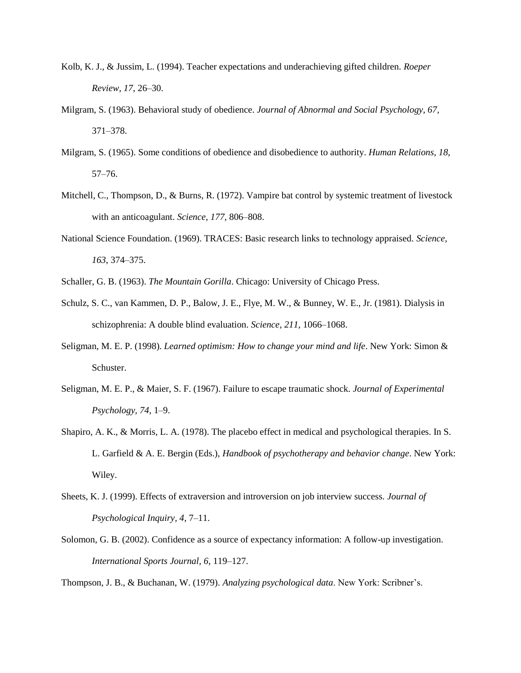- Kolb, K. J., & Jussim, L. (1994). Teacher expectations and underachieving gifted children. *Roeper Review, 17*, 26–30.
- Milgram, S. (1963). Behavioral study of obedience. *Journal of Abnormal and Social Psychology, 67,* 371–378.
- Milgram, S. (1965). Some conditions of obedience and disobedience to authority. *Human Relations, 18*, 57–76.
- Mitchell, C., Thompson, D., & Burns, R. (1972). Vampire bat control by systemic treatment of livestock with an anticoagulant. *Science, 177*, 806–808.
- National Science Foundation. (1969). TRACES: Basic research links to technology appraised. *Science, 163*, 374–375.
- Schaller, G. B. (1963). *The Mountain Gorilla*. Chicago: University of Chicago Press.
- Schulz, S. C., van Kammen, D. P., Balow, J. E., Flye, M. W., & Bunney, W. E., Jr. (1981). Dialysis in schizophrenia: A double blind evaluation. *Science, 211*, 1066–1068.
- Seligman, M. E. P. (1998). *Learned optimism: How to change your mind and life*. New York: Simon & Schuster.
- Seligman, M. E. P., & Maier, S. F. (1967). Failure to escape traumatic shock. *Journal of Experimental Psychology, 74*, 1–9.
- Shapiro, A. K., & Morris, L. A. (1978). The placebo effect in medical and psychological therapies. In S. L. Garfield & A. E. Bergin (Eds.), *Handbook of psychotherapy and behavior change*. New York: Wiley.
- Sheets, K. J. (1999). Effects of extraversion and introversion on job interview success. *Journal of Psychological Inquiry, 4*, 7–11.
- Solomon, G. B. (2002). Confidence as a source of expectancy information: A follow-up investigation. *International Sports Journal, 6*, 119–127.

Thompson, J. B., & Buchanan, W. (1979). *Analyzing psychological data*. New York: Scribner's.